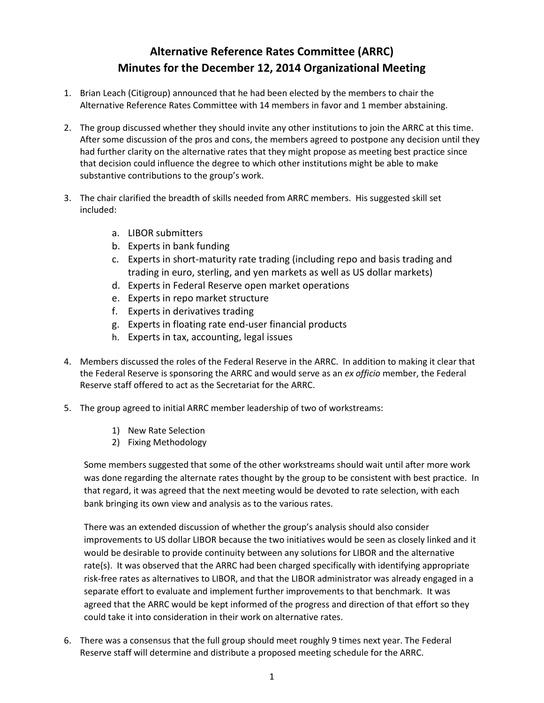## **Alternative Reference Rates Committee (ARRC) Minutes for the December 12, 2014 Organizational Meeting**

- 1. Brian Leach (Citigroup) announced that he had been elected by the members to chair the Alternative Reference Rates Committee with 14 members in favor and 1 member abstaining.
- 2. The group discussed whether they should invite any other institutions to join the ARRC at this time. After some discussion of the pros and cons, the members agreed to postpone any decision until they had further clarity on the alternative rates that they might propose as meeting best practice since that decision could influence the degree to which other institutions might be able to make substantive contributions to the group's work.
- 3. The chair clarified the breadth of skills needed from ARRC members. His suggested skill set included:
	- a. LIBOR submitters
	- b. Experts in bank funding
	- c. Experts in short-maturity rate trading (including repo and basis trading and trading in euro, sterling, and yen markets as well as US dollar markets)
	- d. Experts in Federal Reserve open market operations
	- e. Experts in repo market structure
	- f. Experts in derivatives trading
	- g. Experts in floating rate end-user financial products
	- h. Experts in tax, accounting, legal issues
- 4. Members discussed the roles of the Federal Reserve in the ARRC. In addition to making it clear that the Federal Reserve is sponsoring the ARRC and would serve as an *ex officio* member, the Federal Reserve staff offered to act as the Secretariat for the ARRC.
- 5. The group agreed to initial ARRC member leadership of two of workstreams:
	- 1) New Rate Selection
	- 2) Fixing Methodology

Some members suggested that some of the other workstreams should wait until after more work was done regarding the alternate rates thought by the group to be consistent with best practice. In that regard, it was agreed that the next meeting would be devoted to rate selection, with each bank bringing its own view and analysis as to the various rates.

There was an extended discussion of whether the group's analysis should also consider improvements to US dollar LIBOR because the two initiatives would be seen as closely linked and it would be desirable to provide continuity between any solutions for LIBOR and the alternative rate(s). It was observed that the ARRC had been charged specifically with identifying appropriate risk-free rates as alternatives to LIBOR, and that the LIBOR administrator was already engaged in a separate effort to evaluate and implement further improvements to that benchmark. It was agreed that the ARRC would be kept informed of the progress and direction of that effort so they could take it into consideration in their work on alternative rates.

6. There was a consensus that the full group should meet roughly 9 times next year. The Federal Reserve staff will determine and distribute a proposed meeting schedule for the ARRC.